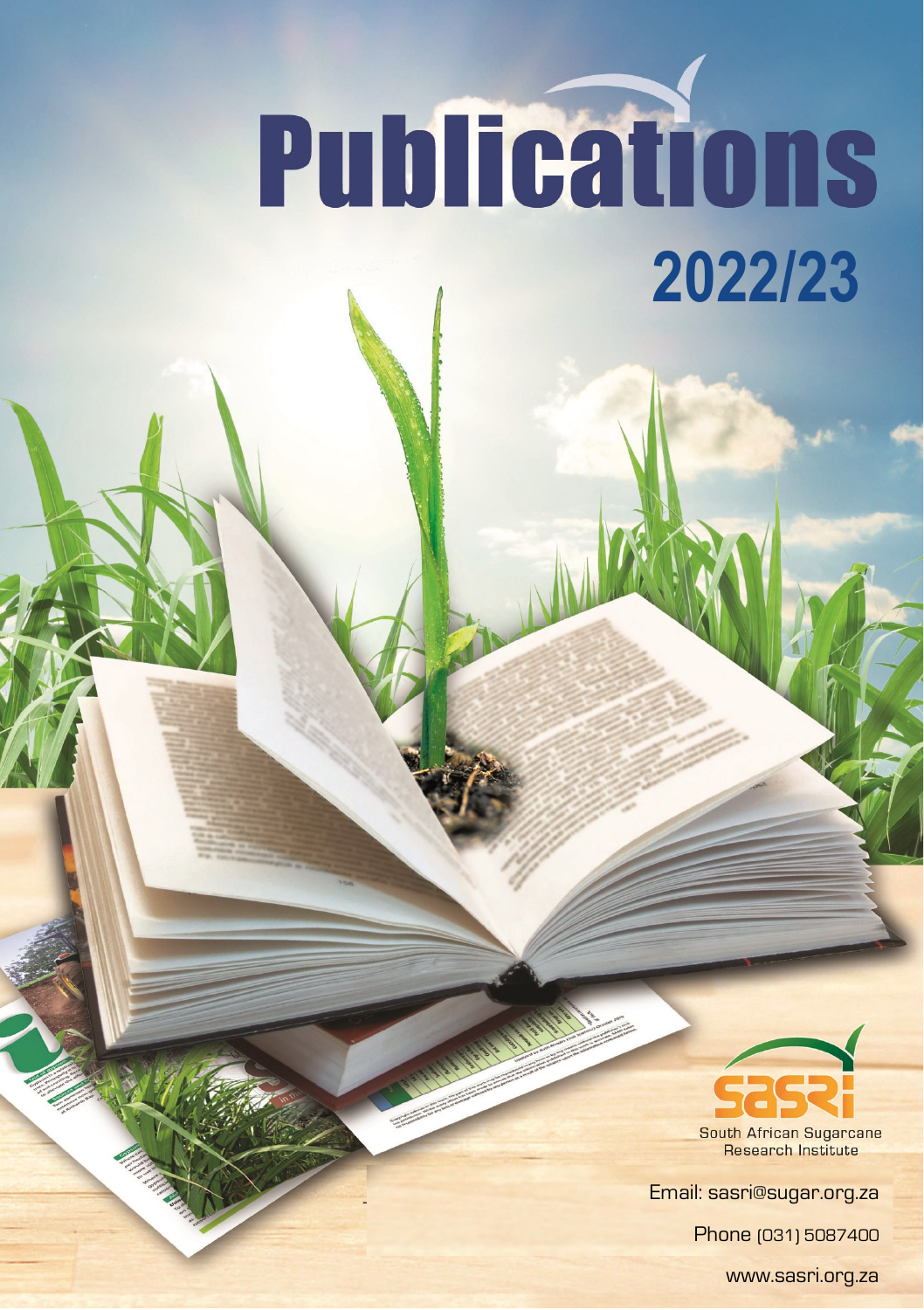## **Publications 2022/23**



**Research Institute** 

Email: sasri@sugar.org.za

Phone (031) 5087400

www.sasri.org.za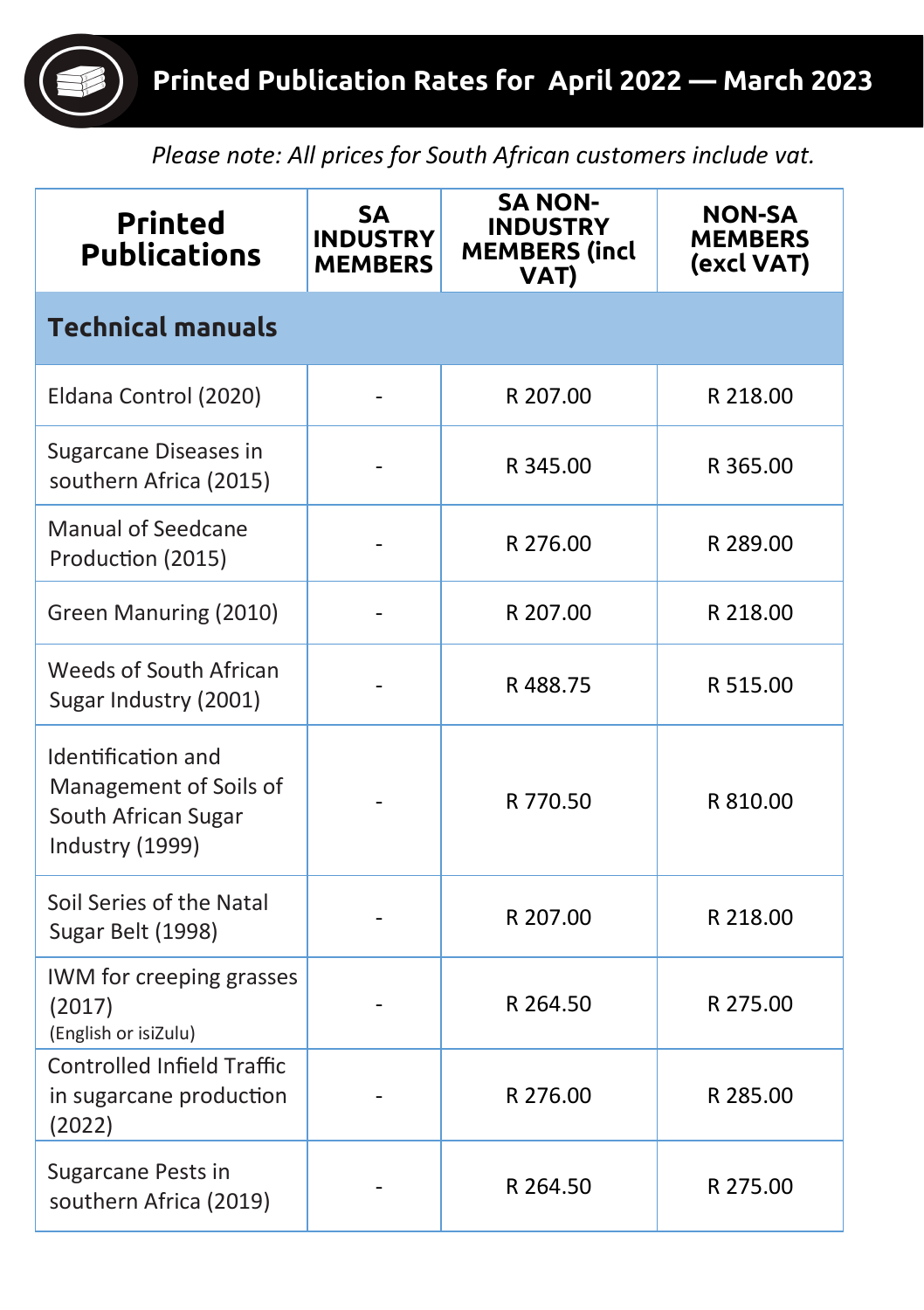*Please note: All prices for South African customers include vat.*

| <b>Printed</b><br><b>Publications</b>                                                  | <b>SA</b><br><b>INDUSTRY</b><br><b>MEMBERS</b> | <b>SA NON-</b><br><b>INDUSTRY</b><br><b>MEMBERS (incl</b><br>VAT) | <b>NON-SA</b><br><b>MEMBERS</b><br>(excl VAT) |  |
|----------------------------------------------------------------------------------------|------------------------------------------------|-------------------------------------------------------------------|-----------------------------------------------|--|
| <b>Technical manuals</b>                                                               |                                                |                                                                   |                                               |  |
| Eldana Control (2020)                                                                  |                                                | R 207.00                                                          | R 218.00                                      |  |
| Sugarcane Diseases in<br>southern Africa (2015)                                        |                                                | R 345.00                                                          | R 365.00                                      |  |
| <b>Manual of Seedcane</b><br>Production (2015)                                         |                                                | R 276.00                                                          | R 289.00                                      |  |
| Green Manuring (2010)                                                                  |                                                | R 207.00                                                          | R 218.00                                      |  |
| Weeds of South African<br>Sugar Industry (2001)                                        |                                                | R488.75                                                           | R 515.00                                      |  |
| Identification and<br>Management of Soils of<br>South African Sugar<br>Industry (1999) |                                                | R 770.50                                                          | R 810.00                                      |  |
| Soil Series of the Natal<br>Sugar Belt (1998)                                          |                                                | R 207.00                                                          | R 218.00                                      |  |
| IWM for creeping grasses<br>(2017)<br>(English or isiZulu)                             |                                                | R 264.50                                                          | R 275.00                                      |  |
| <b>Controlled Infield Traffic</b><br>in sugarcane production<br>(2022)                 |                                                | R 276.00                                                          | R 285.00                                      |  |
| Sugarcane Pests in<br>southern Africa (2019)                                           |                                                | R 264.50                                                          | R 275.00                                      |  |